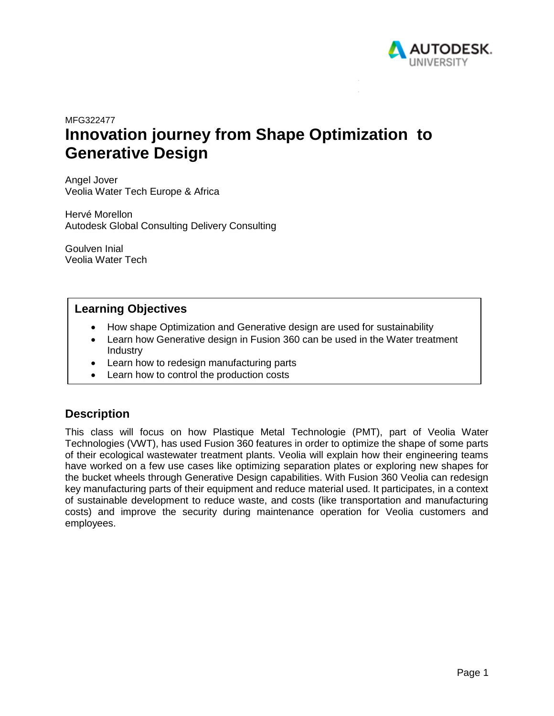

# MFG322477 **Innovation journey from Shape Optimization to Generative Design**

Angel Jover Veolia Water Tech Europe & Africa

Hervé Morellon Autodesk Global Consulting Delivery Consulting

Goulven Inial Veolia Water Tech

### **Learning Objectives**

- How shape Optimization and Generative design are used for sustainability
- Learn how Generative design in Fusion 360 can be used in the Water treatment Industry
- Learn how to redesign manufacturing parts
- Learn how to control the production costs

## **Description**

This class will focus on how Plastique Metal Technologie (PMT), part of Veolia Water Technologies (VWT), has used Fusion 360 features in order to optimize the shape of some parts of their ecological wastewater treatment plants. Veolia will explain how their engineering teams have worked on a few use cases like optimizing separation plates or exploring new shapes for the bucket wheels through Generative Design capabilities. With Fusion 360 Veolia can redesign key manufacturing parts of their equipment and reduce material used. It participates, in a context of sustainable development to reduce waste, and costs (like transportation and manufacturing costs) and improve the security during maintenance operation for Veolia customers and employees.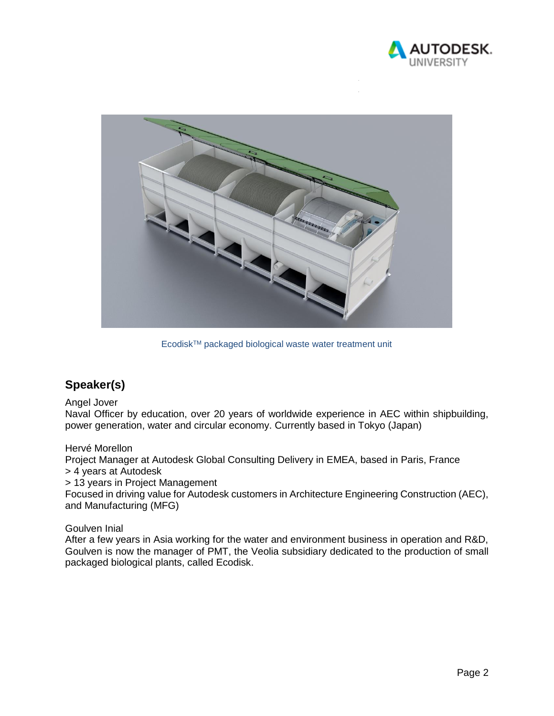



EcodiskTM packaged biological waste water treatment unit

# **Speaker(s)**

#### Angel Jover

Naval Officer by education, over 20 years of worldwide experience in AEC within shipbuilding, power generation, water and circular economy. Currently based in Tokyo (Japan)

#### Hervé Morellon

Project Manager at Autodesk Global Consulting Delivery in EMEA, based in Paris, France > 4 years at Autodesk

> 13 years in Project Management

Focused in driving value for Autodesk customers in Architecture Engineering Construction (AEC), and Manufacturing (MFG)

#### Goulven Inial

After a few years in Asia working for the water and environment business in operation and R&D, Goulven is now the manager of PMT, the Veolia subsidiary dedicated to the production of small packaged biological plants, called Ecodisk.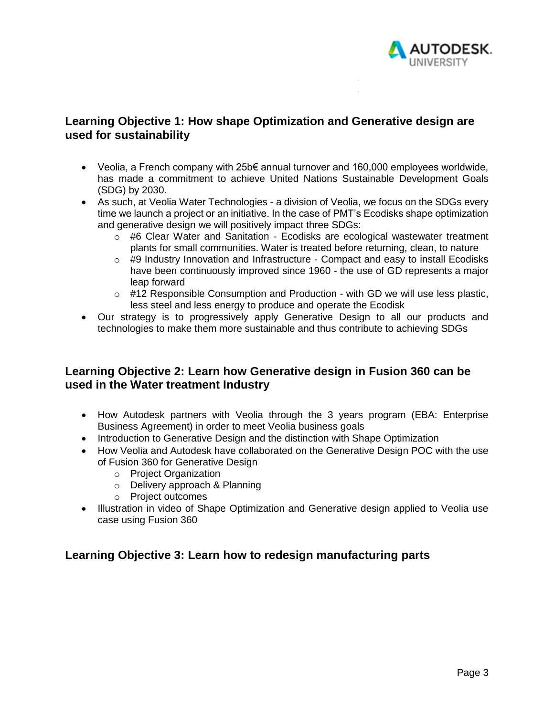

## **Learning Objective 1: How shape Optimization and Generative design are used for sustainability**

- Veolia, a French company with 25b€ annual turnover and 160,000 employees worldwide, has made a commitment to achieve United Nations Sustainable Development Goals (SDG) by 2030.
- As such, at Veolia Water Technologies a division of Veolia, we focus on the SDGs every time we launch a project or an initiative. In the case of PMT's Ecodisks shape optimization and generative design we will positively impact three SDGs:
	- $\circ$  #6 Clear Water and Sanitation Ecodisks are ecological wastewater treatment plants for small communities. Water is treated before returning, clean, to nature
	- $\circ$  #9 Industry Innovation and Infrastructure Compact and easy to install Ecodisks have been continuously improved since 1960 - the use of GD represents a major leap forward
	- o #12 Responsible Consumption and Production with GD we will use less plastic, less steel and less energy to produce and operate the Ecodisk
- Our strategy is to progressively apply Generative Design to all our products and technologies to make them more sustainable and thus contribute to achieving SDGs

## **Learning Objective 2: Learn how Generative design in Fusion 360 can be used in the Water treatment Industry**

- How Autodesk partners with Veolia through the 3 years program (EBA: Enterprise Business Agreement) in order to meet Veolia business goals
- Introduction to Generative Design and the distinction with Shape Optimization
- How Veolia and Autodesk have collaborated on the Generative Design POC with the use of Fusion 360 for Generative Design
	- o Project Organization
	- o Delivery approach & Planning
	- o Project outcomes
- Illustration in video of Shape Optimization and Generative design applied to Veolia use case using Fusion 360

# **Learning Objective 3: Learn how to redesign manufacturing parts**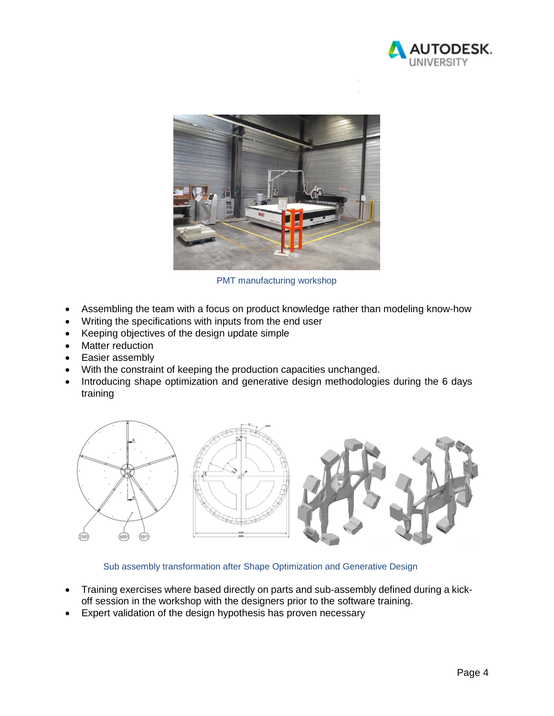



PMT manufacturing workshop

- Assembling the team with a focus on product knowledge rather than modeling know-how
- Writing the specifications with inputs from the end user
- Keeping objectives of the design update simple
- Matter reduction
- Easier assembly
- With the constraint of keeping the production capacities unchanged.
- Introducing shape optimization and generative design methodologies during the 6 days training



Sub assembly transformation after Shape Optimization and Generative Design

- Training exercises where based directly on parts and sub-assembly defined during a kickoff session in the workshop with the designers prior to the software training.
- Expert validation of the design hypothesis has proven necessary